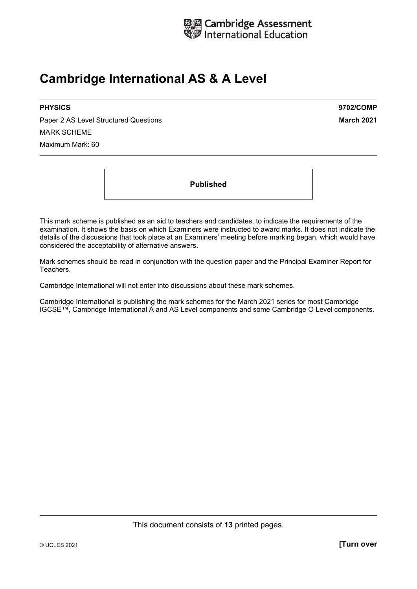

# **Cambridge International AS & A Level**

Paper 2 AS Level Structured Questions **March 2021** MARK SCHEME Maximum Mark: 60

**PHYSICS 9702/COMP** 

**Published** 

This mark scheme is published as an aid to teachers and candidates, to indicate the requirements of the examination. It shows the basis on which Examiners were instructed to award marks. It does not indicate the details of the discussions that took place at an Examiners' meeting before marking began, which would have considered the acceptability of alternative answers.

Mark schemes should be read in conjunction with the question paper and the Principal Examiner Report for Teachers.

Cambridge International will not enter into discussions about these mark schemes.

Cambridge International is publishing the mark schemes for the March 2021 series for most Cambridge IGCSE™, Cambridge International A and AS Level components and some Cambridge O Level components.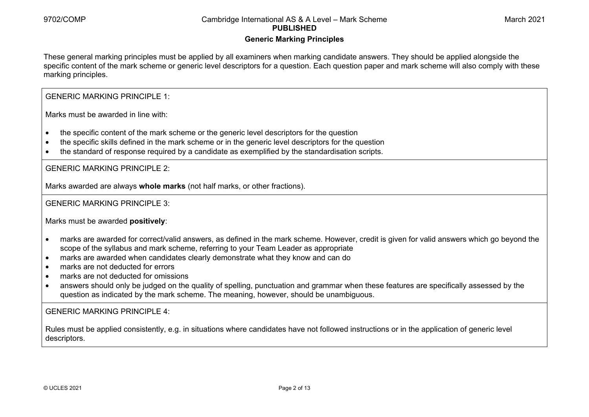#### **Generic Marking Principles**

These general marking principles must be applied by all examiners when marking candidate answers. They should be applied alongside the specific content of the mark scheme or generic level descriptors for a question. Each question paper and mark scheme will also comply with these marking principles.

GENERIC MARKING PRINCIPLE 1:

Marks must be awarded in line with:

- the specific content of the mark scheme or the generic level descriptors for the question
- the specific skills defined in the mark scheme or in the generic level descriptors for the question
- the standard of response required by a candidate as exemplified by the standardisation scripts.

GENERIC MARKING PRINCIPLE 2:

Marks awarded are always **whole marks** (not half marks, or other fractions).

GENERIC MARKING PRINCIPLE 3:

Marks must be awarded **positively**:

- marks are awarded for correct/valid answers, as defined in the mark scheme. However, credit is given for valid answers which go beyond the scope of the syllabus and mark scheme, referring to your Team Leader as appropriate
- marks are awarded when candidates clearly demonstrate what they know and can do
- marks are not deducted for errors
- marks are not deducted for omissions
- answers should only be judged on the quality of spelling, punctuation and grammar when these features are specifically assessed by the question as indicated by the mark scheme. The meaning, however, should be unambiguous.

GENERIC MARKING PRINCIPLE  $4<sup>T</sup>$ 

Rules must be applied consistently, e.g. in situations where candidates have not followed instructions or in the application of generic level descriptors.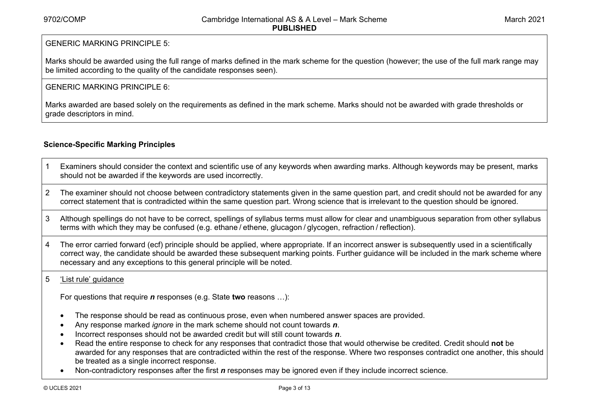#### GENERIC MARKING PRINCIPLE 5:

Marks should be awarded using the full range of marks defined in the mark scheme for the question (however; the use of the full mark range may be limited according to the quality of the candidate responses seen).

#### GENERIC MARKING PRINCIPLE 6:

Marks awarded are based solely on the requirements as defined in the mark scheme. Marks should not be awarded with grade thresholds or grade descriptors in mind.

#### **Science-Specific Marking Principles**

- 1 Examiners should consider the context and scientific use of any keywords when awarding marks. Although keywords may be present, marks should not be awarded if the keywords are used incorrectly.
- 2 The examiner should not choose between contradictory statements given in the same question part, and credit should not be awarded for any correct statement that is contradicted within the same question part. Wrong science that is irrelevant to the question should be ignored.
- 3 Although spellings do not have to be correct, spellings of syllabus terms must allow for clear and unambiguous separation from other syllabus terms with which they may be confused (e.g. ethane / ethene, glucagon / glycogen, refraction / reflection).
- 4 The error carried forward (ecf) principle should be applied, where appropriate. If an incorrect answer is subsequently used in a scientifically correct way, the candidate should be awarded these subsequent marking points. Further guidance will be included in the mark scheme where necessary and any exceptions to this general principle will be noted.

#### 5 'List rule' guidance

For questions that require *<sup>n</sup>* responses (e.g. State **two** reasons …):

- The response should be read as continuous prose, even when numbered answer spaces are provided.
- Any response marked *ignore* in the mark scheme should not count towards *n*.
- Incorrect responses should not be awarded credit but will still count towards *n*.
- Read the entire response to check for any responses that contradict those that would otherwise be credited. Credit should **not** be awarded for any responses that are contradicted within the rest of the response. Where two responses contradict one another, this should be treated as a single incorrect response.
- Non-contradictory responses after the first *n* responses may be ignored even if they include incorrect science.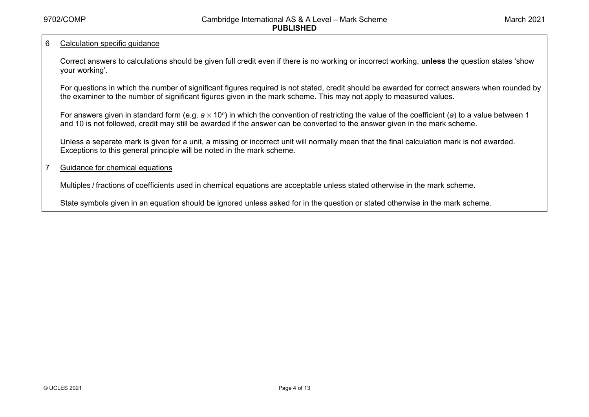#### 6 Calculation specific guidance

Correct answers to calculations should be given full credit even if there is no working or incorrect working, **unless** the question states 'show your working'.

For questions in which the number of significant figures required is not stated, credit should be awarded for correct answers when rounded by the examiner to the number of significant figures given in the mark scheme. This may not apply to measured values.

For answers given in standard form (e.g. *a* × 10<sup>*n*</sup>) in which the convention of restricting the value of the coefficient (*a*) to a value between 1 and 10 is not followed, credit may still be awarded if the answer can be converted to the answer given in the mark scheme.

Unless a separate mark is given for a unit, a missing or incorrect unit will normally mean that the final calculation mark is not awarded. Exceptions to this general principle will be noted in the mark scheme.

7 Guidance for chemical equations

Multiples / fractions of coefficients used in chemical equations are acceptable unless stated otherwise in the mark scheme.

State symbols given in an equation should be ignored unless asked for in the question or stated otherwise in the mark scheme.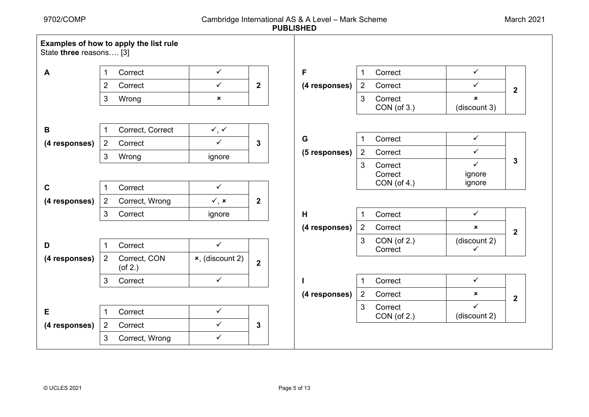| State three reasons [3] |                | Examples of how to apply the list rule |                             |                  |               |                |                        |                              |                  |
|-------------------------|----------------|----------------------------------------|-----------------------------|------------------|---------------|----------------|------------------------|------------------------------|------------------|
| A                       |                | Correct                                | $\checkmark$                |                  | F             | 1              | Correct                | $\checkmark$                 |                  |
|                         | $\overline{2}$ | Correct                                | $\checkmark$                | $\mathbf 2$      | (4 responses) | $2^{\circ}$    | Correct                | ✓                            | $\boldsymbol{2}$ |
|                         | 3              | Wrong                                  | $\pmb{\times}$              |                  |               | 3              | Correct<br>CON(of 3.)  | $\mathbf x$<br>(discount 3)  |                  |
| В                       |                | Correct, Correct                       | $\checkmark$ , $\checkmark$ |                  |               |                |                        |                              |                  |
| (4 responses)           | 2              | Correct                                | $\checkmark$                | 3                | G             |                | Correct                | $\checkmark$                 |                  |
|                         | 3              | Wrong                                  | ignore                      |                  | (5 responses) | $\overline{2}$ | Correct                | $\checkmark$                 |                  |
|                         |                |                                        |                             |                  |               | 3              | Correct<br>Correct     | $\checkmark$<br>ignore       | 3                |
| $\mathbf c$             |                | Correct                                | $\checkmark$                |                  |               |                | CON (of 4.)            | ignore                       |                  |
| (4 responses)           | $\overline{2}$ | Correct, Wrong                         | $\checkmark$ , x            | $\boldsymbol{2}$ |               |                |                        |                              |                  |
|                         | 3              | Correct                                | ignore                      |                  | H             | 1              | Correct                | $\checkmark$                 |                  |
|                         |                |                                        |                             |                  | (4 responses) | $2^{\circ}$    | Correct                | $\boldsymbol{\mathsf{x}}$    | $\overline{2}$   |
| D                       |                | Correct                                | $\checkmark$                |                  |               | 3              | CON (of 2.)<br>Correct | (discount 2)<br>$\checkmark$ |                  |
| (4 responses)           | 2              | Correct, CON<br>$($ of 2. $)$          | $x$ , (discount 2)          | $\overline{2}$   |               |                |                        |                              |                  |
|                         | 3              | Correct                                | $\checkmark$                |                  |               | 1              | Correct                | $\checkmark$                 |                  |
|                         |                |                                        |                             |                  | (4 responses) | $\overline{2}$ | Correct                | $\pmb{\times}$               | $\overline{2}$   |
| Е                       | $\mathbf 1$    | Correct                                | $\checkmark$                |                  |               | 3              | Correct<br>CON (of 2.) | ✓<br>(discount 2)            |                  |
| (4 responses)           | $\overline{2}$ | Correct                                | $\checkmark$                | 3                |               |                |                        |                              |                  |
|                         | 3              | Correct, Wrong                         | $\checkmark$                |                  |               |                |                        |                              |                  |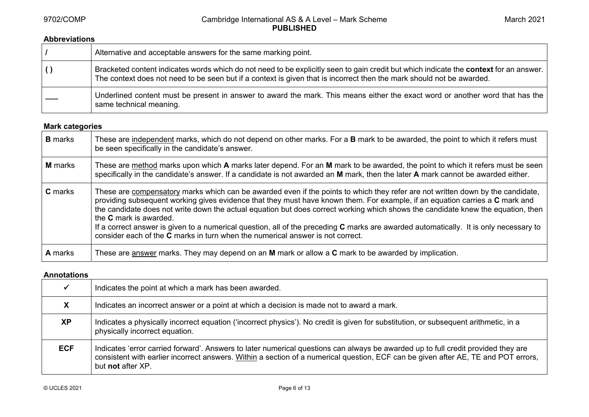#### **Abbreviations**

|                  | Alternative and acceptable answers for the same marking point.                                                                                                                                                                                                  |
|------------------|-----------------------------------------------------------------------------------------------------------------------------------------------------------------------------------------------------------------------------------------------------------------|
| $\left( \right)$ | Bracketed content indicates words which do not need to be explicitly seen to gain credit but which indicate the context for an answer.<br>The context does not need to be seen but if a context is given that is incorrect then the mark should not be awarded. |
|                  | Underlined content must be present in answer to award the mark. This means either the exact word or another word that has the<br>same technical meaning.                                                                                                        |

### **Mark categories**

| <b>B</b> marks | These are independent marks, which do not depend on other marks. For a B mark to be awarded, the point to which it refers must<br>be seen specifically in the candidate's answer.                                                                                                                                                                                                                                                                                                                                                                                                                                                                                      |
|----------------|------------------------------------------------------------------------------------------------------------------------------------------------------------------------------------------------------------------------------------------------------------------------------------------------------------------------------------------------------------------------------------------------------------------------------------------------------------------------------------------------------------------------------------------------------------------------------------------------------------------------------------------------------------------------|
| <b>M</b> marks | These are method marks upon which A marks later depend. For an M mark to be awarded, the point to which it refers must be seen<br>specifically in the candidate's answer. If a candidate is not awarded an M mark, then the later A mark cannot be awarded either.                                                                                                                                                                                                                                                                                                                                                                                                     |
| <b>C</b> marks | These are compensatory marks which can be awarded even if the points to which they refer are not written down by the candidate,<br>providing subsequent working gives evidence that they must have known them. For example, if an equation carries a C mark and<br>the candidate does not write down the actual equation but does correct working which shows the candidate knew the equation, then<br>the <b>C</b> mark is awarded.<br>If a correct answer is given to a numerical question, all of the preceding C marks are awarded automatically. It is only necessary to<br>consider each of the <b>C</b> marks in turn when the numerical answer is not correct. |
| <b>A</b> marks | These are answer marks. They may depend on an M mark or allow a C mark to be awarded by implication.                                                                                                                                                                                                                                                                                                                                                                                                                                                                                                                                                                   |

#### **Annotations**

|            | Indicates the point at which a mark has been awarded.                                                                                                                                                                                                                                        |
|------------|----------------------------------------------------------------------------------------------------------------------------------------------------------------------------------------------------------------------------------------------------------------------------------------------|
| X          | Indicates an incorrect answer or a point at which a decision is made not to award a mark.                                                                                                                                                                                                    |
| <b>XP</b>  | Indicates a physically incorrect equation ('incorrect physics'). No credit is given for substitution, or subsequent arithmetic, in a<br>physically incorrect equation.                                                                                                                       |
| <b>ECF</b> | Indicates 'error carried forward'. Answers to later numerical questions can always be awarded up to full credit provided they are<br>consistent with earlier incorrect answers. Within a section of a numerical question, ECF can be given after AE, TE and POT errors,<br>but not after XP. |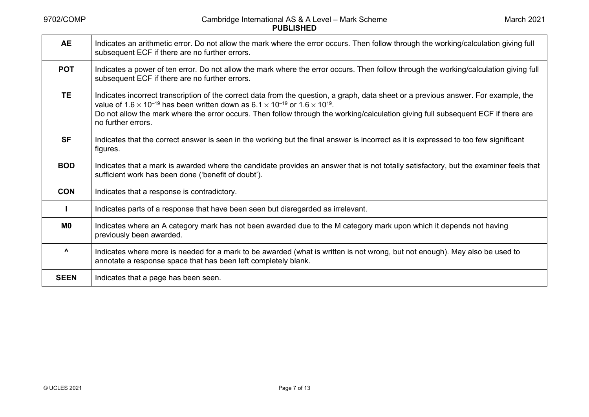| <b>AE</b>      | Indicates an arithmetic error. Do not allow the mark where the error occurs. Then follow through the working/calculation giving full<br>subsequent ECF if there are no further errors.                                                                                                                                                                                                                                               |
|----------------|--------------------------------------------------------------------------------------------------------------------------------------------------------------------------------------------------------------------------------------------------------------------------------------------------------------------------------------------------------------------------------------------------------------------------------------|
| <b>POT</b>     | Indicates a power of ten error. Do not allow the mark where the error occurs. Then follow through the working/calculation giving full<br>subsequent ECF if there are no further errors.                                                                                                                                                                                                                                              |
| <b>TE</b>      | Indicates incorrect transcription of the correct data from the question, a graph, data sheet or a previous answer. For example, the<br>value of 1.6 $\times$ 10 <sup>-19</sup> has been written down as 6.1 $\times$ 10 <sup>-19</sup> or 1.6 $\times$ 10 <sup>19</sup> .<br>Do not allow the mark where the error occurs. Then follow through the working/calculation giving full subsequent ECF if there are<br>no further errors. |
| <b>SF</b>      | Indicates that the correct answer is seen in the working but the final answer is incorrect as it is expressed to too few significant<br>figures.                                                                                                                                                                                                                                                                                     |
| <b>BOD</b>     | Indicates that a mark is awarded where the candidate provides an answer that is not totally satisfactory, but the examiner feels that<br>sufficient work has been done ('benefit of doubt').                                                                                                                                                                                                                                         |
| <b>CON</b>     | Indicates that a response is contradictory.                                                                                                                                                                                                                                                                                                                                                                                          |
|                | Indicates parts of a response that have been seen but disregarded as irrelevant.                                                                                                                                                                                                                                                                                                                                                     |
| M <sub>0</sub> | Indicates where an A category mark has not been awarded due to the M category mark upon which it depends not having<br>previously been awarded.                                                                                                                                                                                                                                                                                      |
| Λ              | Indicates where more is needed for a mark to be awarded (what is written is not wrong, but not enough). May also be used to<br>annotate a response space that has been left completely blank.                                                                                                                                                                                                                                        |
| <b>SEEN</b>    | Indicates that a page has been seen.                                                                                                                                                                                                                                                                                                                                                                                                 |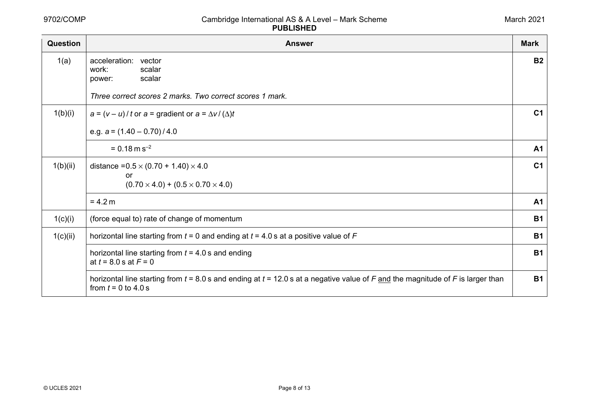| March 2021 |  |
|------------|--|
|------------|--|

| Question | <b>Answer</b>                                                                                                                                                | <b>Mark</b>    |
|----------|--------------------------------------------------------------------------------------------------------------------------------------------------------------|----------------|
| 1(a)     | acceleration: vector<br>work:<br>scalar<br>scalar<br>power:                                                                                                  | <b>B2</b>      |
|          | Three correct scores 2 marks. Two correct scores 1 mark.                                                                                                     |                |
| 1(b)(i)  | $a = (v - u)/t$ or $a =$ gradient or $a = \Delta v / (\Delta)t$                                                                                              | C <sub>1</sub> |
|          | e.g. $a = (1.40 - 0.70)/4.0$                                                                                                                                 |                |
|          | $= 0.18$ m s <sup>-2</sup>                                                                                                                                   | A <sub>1</sub> |
| 1(b)(ii) | distance = $0.5 \times (0.70 + 1.40) \times 4.0$<br>or                                                                                                       | C <sub>1</sub> |
|          | $(0.70 \times 4.0) + (0.5 \times 0.70 \times 4.0)$                                                                                                           |                |
|          | $= 4.2 m$                                                                                                                                                    | <b>A1</b>      |
| 1(c)(i)  | (force equal to) rate of change of momentum                                                                                                                  | <b>B1</b>      |
| 1(c)(ii) | horizontal line starting from $t = 0$ and ending at $t = 4.0$ s at a positive value of F                                                                     | <b>B1</b>      |
|          | horizontal line starting from $t = 4.0$ s and ending<br>at $t = 8.0$ s at $F = 0$                                                                            | <b>B1</b>      |
|          | horizontal line starting from $t = 8.0$ s and ending at $t = 12.0$ s at a negative value of F and the magnitude of F is larger than<br>from $t = 0$ to 4.0 s | <b>B1</b>      |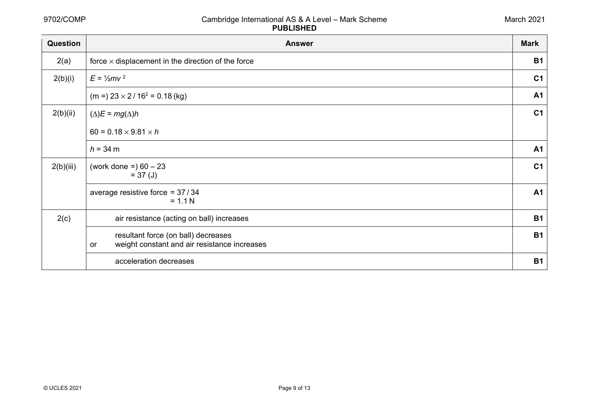| Question  | <b>Answer</b>                                                                             | <b>Mark</b>    |
|-----------|-------------------------------------------------------------------------------------------|----------------|
| 2(a)      | force $\times$ displacement in the direction of the force                                 | <b>B1</b>      |
| 2(b)(i)   | $E = \frac{1}{2}mv^2$                                                                     |                |
|           | $(m =) 23 \times 2 / 16^2 = 0.18$ (kg)                                                    | <b>A1</b>      |
| 2(b)(ii)  | $(\Delta)E = mg(\Delta)h$                                                                 | C <sub>1</sub> |
|           | $60 = 0.18 \times 9.81 \times h$                                                          |                |
|           | $h = 34 \text{ m}$                                                                        | <b>A1</b>      |
| 2(b)(iii) | (work done =) $60 - 23$<br>$= 37 \text{ (J)}$                                             | C <sub>1</sub> |
|           | average resistive force = $37/34$<br>$= 1.1 N$                                            | <b>A1</b>      |
| 2(c)      | air resistance (acting on ball) increases                                                 | <b>B1</b>      |
|           | resultant force (on ball) decreases<br>weight constant and air resistance increases<br>or | <b>B1</b>      |
|           | acceleration decreases                                                                    | <b>B1</b>      |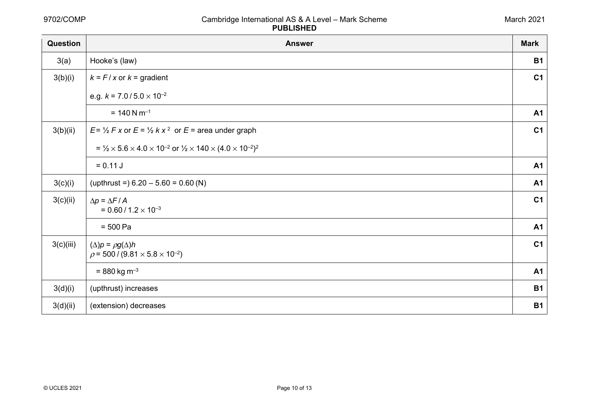| Question  | <b>Answer</b>                                                                                                  | <b>Mark</b>    |
|-----------|----------------------------------------------------------------------------------------------------------------|----------------|
| 3(a)      | Hooke's (law)                                                                                                  | <b>B1</b>      |
| 3(b)(i)   | $k = F/x$ or $k =$ gradient                                                                                    | C <sub>1</sub> |
|           | e.g. $k = 7.0 / 5.0 \times 10^{-2}$                                                                            |                |
|           | $= 140$ N m <sup>-1</sup>                                                                                      | A <sub>1</sub> |
| 3(b)(ii)  | $E = \frac{1}{2} F x$ or $E = \frac{1}{2} k x^2$ or $E =$ area under graph                                     | C <sub>1</sub> |
|           | = $\frac{1}{2} \times 5.6 \times 4.0 \times 10^{-2}$ or $\frac{1}{2} \times 140 \times (4.0 \times 10^{-2})^2$ |                |
|           | $= 0.11 J$                                                                                                     | A <sub>1</sub> |
| 3(c)(i)   | (upthrust = $6.20 - 5.60 = 0.60$ (N)                                                                           | A <sub>1</sub> |
| 3(c)(ii)  | $\Delta p = \Delta F / A$<br>$= 0.60 / 1.2 \times 10^{-3}$                                                     | C <sub>1</sub> |
|           | $= 500 Pa$                                                                                                     | <b>A1</b>      |
| 3(c)(iii) | $(\Delta)p = \rho g(\Delta)h$<br>$\rho$ = 500 / (9.81 $\times$ 5.8 $\times$ 10 <sup>-2</sup> )                 | C <sub>1</sub> |
|           | $= 880$ kg m <sup>-3</sup>                                                                                     | A <sub>1</sub> |
| 3(d)(i)   | (upthrust) increases                                                                                           | <b>B1</b>      |
| 3(d)(ii)  | (extension) decreases                                                                                          | <b>B1</b>      |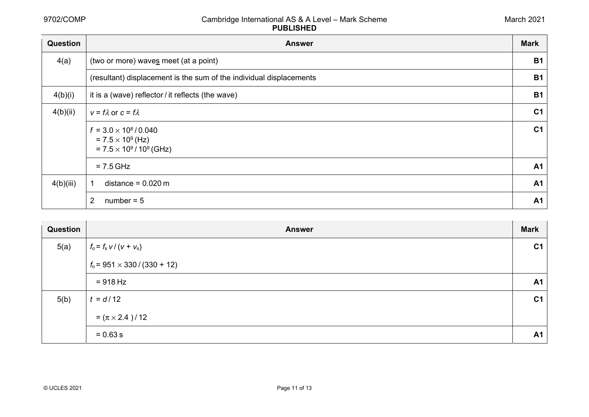| <b>Question</b> | <b>Answer</b>                                                                                   | <b>Mark</b>    |
|-----------------|-------------------------------------------------------------------------------------------------|----------------|
| 4(a)            | (two or more) waves meet (at a point)                                                           | <b>B1</b>      |
|                 | (resultant) displacement is the sum of the individual displacements                             | <b>B1</b>      |
| 4(b)(i)         | it is a (wave) reflector / it reflects (the wave)                                               | <b>B1</b>      |
| 4(b)(ii)        | $v = f \lambda$ or $c = f \lambda$                                                              | C <sub>1</sub> |
|                 | $f = 3.0 \times 10^8 / 0.040$<br>$= 7.5 \times 10^{9}$ (Hz)<br>$= 7.5 \times 10^9 / 10^9$ (GHz) | C <sub>1</sub> |
|                 | $= 7.5$ GHz                                                                                     | A <sub>1</sub> |
| 4(b)(iii)       | distance = $0.020$ m                                                                            | A <sub>1</sub> |
|                 | 2<br>$number = 5$                                                                               | A <sub>1</sub> |

| Question | <b>Answer</b>                         | <b>Mark</b>    |
|----------|---------------------------------------|----------------|
| 5(a)     | $f_o = f_s v / (v + v_s)$             | C <sub>1</sub> |
|          | $f_0$ = 951 $\times$ 330 / (330 + 12) |                |
|          | $= 918 Hz$                            | <b>A1</b>      |
| 5(b)     | $t = d/12$                            | C <sub>1</sub> |
|          | = $(\pi \times 2.4)$ / 12             |                |
|          | $= 0.63 s$                            | <b>A1</b>      |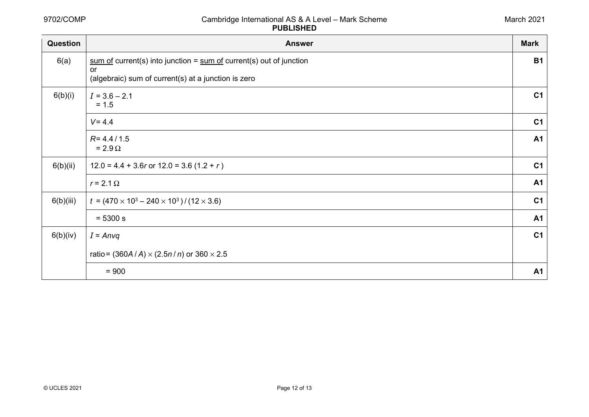| March 2021 |  |
|------------|--|
|------------|--|

| Question  | <b>Answer</b>                                                           | <b>Mark</b>    |
|-----------|-------------------------------------------------------------------------|----------------|
| 6(a)      | $sum of current(s)$ into junction = $sum of current(s)$ out of junction | <b>B1</b>      |
|           | or<br>(algebraic) sum of current(s) at a junction is zero               |                |
| 6(b)(i)   | $I = 3.6 - 2.1$<br>$= 1.5$                                              | C <sub>1</sub> |
|           | $V = 4.4$                                                               | C <sub>1</sub> |
|           | $R = 4.4 / 1.5$<br>$= 2.9 \Omega$                                       | <b>A1</b>      |
| 6(b)(ii)  | $12.0 = 4.4 + 3.6r$ or $12.0 = 3.6 (1.2 + r)$                           | C <sub>1</sub> |
|           | $r = 2.1 \Omega$                                                        | <b>A1</b>      |
| 6(b)(iii) | $t = (470 \times 10^3 - 240 \times 10^3) / (12 \times 3.6)$             | C <sub>1</sub> |
|           | $= 5300 s$                                                              | <b>A1</b>      |
| 6(b)(iv)  | $I = Anvq$                                                              | C <sub>1</sub> |
|           | ratio = $(360A/A) \times (2.5n/n)$ or $360 \times 2.5$                  |                |
|           | $= 900$                                                                 | A1             |